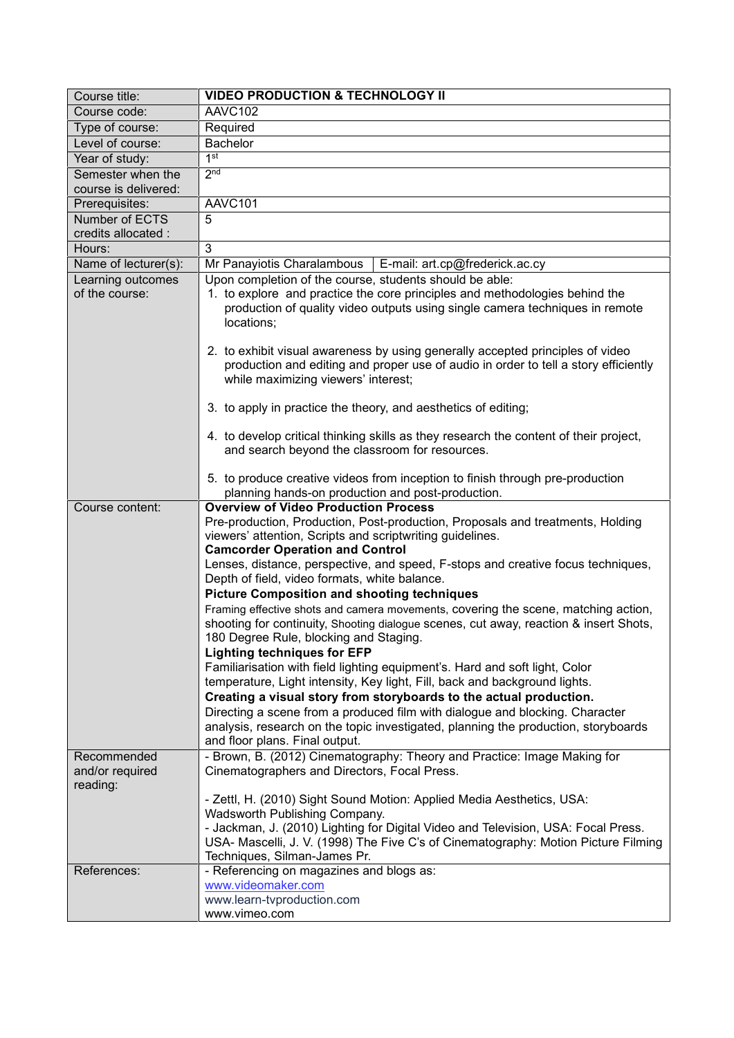| Course title:                              | <b>VIDEO PRODUCTION &amp; TECHNOLOGY II</b>                                                                                                                                                                                                                                                                                                                                                                                             |
|--------------------------------------------|-----------------------------------------------------------------------------------------------------------------------------------------------------------------------------------------------------------------------------------------------------------------------------------------------------------------------------------------------------------------------------------------------------------------------------------------|
| Course code:                               | AAVC102                                                                                                                                                                                                                                                                                                                                                                                                                                 |
| Type of course:                            | Required                                                                                                                                                                                                                                                                                                                                                                                                                                |
| Level of course:                           | <b>Bachelor</b>                                                                                                                                                                                                                                                                                                                                                                                                                         |
| Year of study:                             | 1 <sup>st</sup>                                                                                                                                                                                                                                                                                                                                                                                                                         |
| Semester when the                          | 2 <sub>nd</sub>                                                                                                                                                                                                                                                                                                                                                                                                                         |
| course is delivered:                       |                                                                                                                                                                                                                                                                                                                                                                                                                                         |
| Prerequisites:                             | AAVC <sub>101</sub>                                                                                                                                                                                                                                                                                                                                                                                                                     |
| Number of ECTS                             | 5                                                                                                                                                                                                                                                                                                                                                                                                                                       |
| credits allocated :                        |                                                                                                                                                                                                                                                                                                                                                                                                                                         |
| Hours:                                     | 3                                                                                                                                                                                                                                                                                                                                                                                                                                       |
| Name of lecturer(s):                       | Mr Panayiotis Charalambous   E-mail: art.cp@frederick.ac.cy                                                                                                                                                                                                                                                                                                                                                                             |
| Learning outcomes<br>of the course:        | Upon completion of the course, students should be able:<br>1. to explore and practice the core principles and methodologies behind the<br>production of quality video outputs using single camera techniques in remote<br>locations;                                                                                                                                                                                                    |
|                                            | 2. to exhibit visual awareness by using generally accepted principles of video<br>production and editing and proper use of audio in order to tell a story efficiently<br>while maximizing viewers' interest;                                                                                                                                                                                                                            |
|                                            | 3. to apply in practice the theory, and aesthetics of editing;                                                                                                                                                                                                                                                                                                                                                                          |
|                                            | 4. to develop critical thinking skills as they research the content of their project,<br>and search beyond the classroom for resources.                                                                                                                                                                                                                                                                                                 |
|                                            | 5. to produce creative videos from inception to finish through pre-production<br>planning hands-on production and post-production.                                                                                                                                                                                                                                                                                                      |
| Course content:                            | <b>Overview of Video Production Process</b><br>Pre-production, Production, Post-production, Proposals and treatments, Holding<br>viewers' attention, Scripts and scriptwriting guidelines.<br><b>Camcorder Operation and Control</b><br>Lenses, distance, perspective, and speed, F-stops and creative focus techniques,<br>Depth of field, video formats, white balance.<br><b>Picture Composition and shooting techniques</b>         |
|                                            | Framing effective shots and camera movements, covering the scene, matching action,<br>shooting for continuity, Shooting dialogue scenes, cut away, reaction & insert Shots,<br>180 Degree Rule, blocking and Staging.<br><b>Lighting techniques for EFP</b>                                                                                                                                                                             |
|                                            | Familiarisation with field lighting equipment's. Hard and soft light, Color<br>temperature, Light intensity, Key light, Fill, back and background lights.<br>Creating a visual story from storyboards to the actual production.<br>Directing a scene from a produced film with dialogue and blocking. Character<br>analysis, research on the topic investigated, planning the production, storyboards<br>and floor plans. Final output. |
| Recommended<br>and/or required<br>reading: | - Brown, B. (2012) Cinematography: Theory and Practice: Image Making for<br>Cinematographers and Directors, Focal Press.                                                                                                                                                                                                                                                                                                                |
|                                            | - Zettl, H. (2010) Sight Sound Motion: Applied Media Aesthetics, USA:<br>Wadsworth Publishing Company.<br>- Jackman, J. (2010) Lighting for Digital Video and Television, USA: Focal Press.<br>USA- Mascelli, J. V. (1998) The Five C's of Cinematography: Motion Picture Filming<br>Techniques, Silman-James Pr.                                                                                                                       |
| References:                                | - Referencing on magazines and blogs as:<br>www.videomaker.com<br>www.learn-tvproduction.com<br>www.vimeo.com                                                                                                                                                                                                                                                                                                                           |